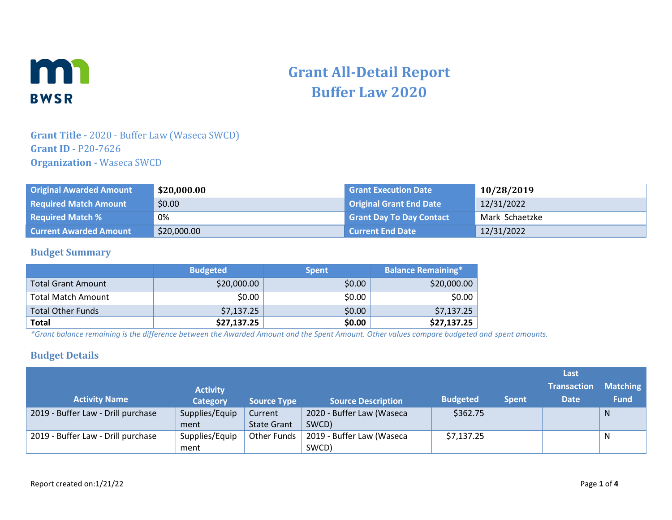

# **Grant All-Detail Report Buffer Law 2020**

### **Grant Title -** 2020 - Buffer Law (Waseca SWCD) **Grant ID** - P20-7626 **Organization -** Waseca SWCD

| <b>Original Awarded Amount</b> | \$20,000.00 | <b>Grant Execution Date</b>     | 10/28/2019     |
|--------------------------------|-------------|---------------------------------|----------------|
| <b>Required Match Amount</b>   | \$0.00      | <b>Original Grant End Date</b>  | 12/31/2022     |
| <b>Required Match %</b>        | 0%          | <b>Grant Day To Day Contact</b> | Mark Schaetzke |
| <b>Current Awarded Amount</b>  | \$20,000.00 | <b>Current End Date</b>         | 12/31/2022     |

#### **Budget Summary**

|                           | <b>Budgeted</b> | <b>Spent</b> | <b>Balance Remaining*</b> |
|---------------------------|-----------------|--------------|---------------------------|
| <b>Total Grant Amount</b> | \$20,000.00     | \$0.00       | \$20,000.00               |
| <b>Total Match Amount</b> | \$0.00          | \$0.00       | \$0.00                    |
| <b>Total Other Funds</b>  | \$7,137.25      | \$0.00       | \$7,137.25                |
| <b>Total</b>              | \$27,137.25     | \$0.00       | \$27,137.25               |

*\*Grant balance remaining is the difference between the Awarded Amount and the Spent Amount. Other values compare budgeted and spent amounts.*

#### **Budget Details**

|                                    |                 |                    |                           |                 |              | Last               |                 |
|------------------------------------|-----------------|--------------------|---------------------------|-----------------|--------------|--------------------|-----------------|
|                                    | <b>Activity</b> |                    |                           |                 |              | <b>Transaction</b> | <b>Matching</b> |
| <b>Activity Name</b>               | <b>Category</b> | <b>Source Type</b> | <b>Source Description</b> | <b>Budgeted</b> | <b>Spent</b> | <b>Date</b>        | <b>Fund</b>     |
| 2019 - Buffer Law - Drill purchase | Supplies/Equip  | Current            | 2020 - Buffer Law (Waseca | \$362.75        |              |                    | $\mathsf{N}$    |
|                                    | ment            | <b>State Grant</b> | SWCD)                     |                 |              |                    |                 |
| 2019 - Buffer Law - Drill purchase | Supplies/Equip  | Other Funds        | 2019 - Buffer Law (Waseca | \$7,137.25      |              |                    | N               |
|                                    | ment            |                    | SWCD)                     |                 |              |                    |                 |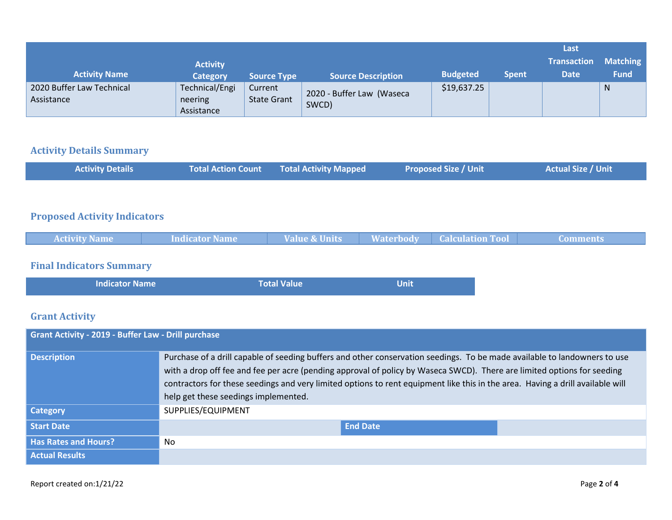|                                         |                                         |                               |                                    |                 |              | Last               |                 |
|-----------------------------------------|-----------------------------------------|-------------------------------|------------------------------------|-----------------|--------------|--------------------|-----------------|
|                                         | <b>Activity</b>                         |                               |                                    |                 |              | <b>Transaction</b> | <b>Matching</b> |
| <b>Activity Name</b>                    | <b>Category</b>                         | <b>Source Type</b>            | <b>Source Description</b>          | <b>Budgeted</b> | <b>Spent</b> | <b>Date</b>        | <b>Fund</b>     |
| 2020 Buffer Law Technical<br>Assistance | Technical/Engi<br>neering<br>Assistance | Current<br><b>State Grant</b> | 2020 - Buffer Law (Waseca<br>SWCD) | \$19,637.25     |              |                    | N               |

### **Activity Details Summary**

| <b>Activity Details</b> | Total Action Count Total Activity Mapped | <b>Proposed Size / Unit \</b> | <b>Actual Size / Unit</b> |
|-------------------------|------------------------------------------|-------------------------------|---------------------------|
|                         |                                          |                               |                           |

# **Proposed Activity Indicators**

| <b>Activity Name</b> | Indicator Name | <b>Value &amp; Units</b> | <b>Waterbody</b> | <b>Calculation Tool</b> | Comments. |
|----------------------|----------------|--------------------------|------------------|-------------------------|-----------|
|                      |                |                          |                  |                         |           |

## **Final Indicators Summary**

| <b>Indicator Name</b> | <b>Total Value</b> | Unit |  |
|-----------------------|--------------------|------|--|
|                       |                    |      |  |

# **Grant Activity**

| Grant Activity - 2019 - Buffer Law - Drill purchase |                                                                                                                                                                                                                                                                                                                                                                                                                                |
|-----------------------------------------------------|--------------------------------------------------------------------------------------------------------------------------------------------------------------------------------------------------------------------------------------------------------------------------------------------------------------------------------------------------------------------------------------------------------------------------------|
| <b>Description</b>                                  | Purchase of a drill capable of seeding buffers and other conservation seedings. To be made available to landowners to use<br>with a drop off fee and fee per acre (pending approval of policy by Waseca SWCD). There are limited options for seeding<br>contractors for these seedings and very limited options to rent equipment like this in the area. Having a drill available will<br>help get these seedings implemented. |
| <b>Category</b>                                     | SUPPLIES/EQUIPMENT                                                                                                                                                                                                                                                                                                                                                                                                             |
| <b>Start Date</b>                                   | <b>End Date</b>                                                                                                                                                                                                                                                                                                                                                                                                                |
| <b>Has Rates and Hours?</b>                         | No                                                                                                                                                                                                                                                                                                                                                                                                                             |
| <b>Actual Results</b>                               |                                                                                                                                                                                                                                                                                                                                                                                                                                |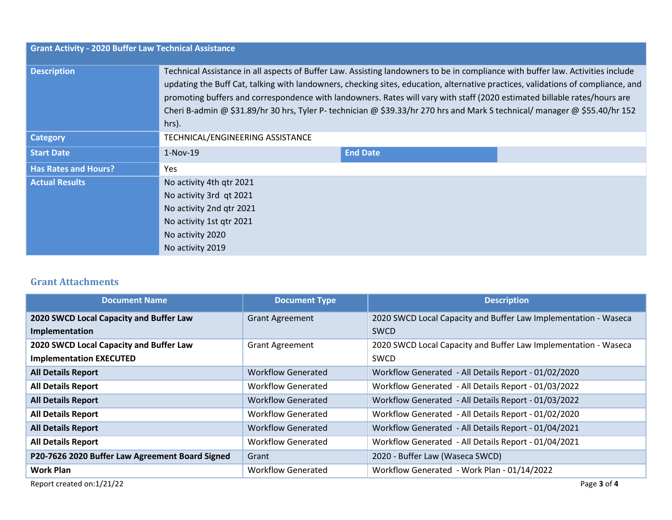|                             | <b>Grant Activity - 2020 Buffer Law Technical Assistance</b>                                                                                                                                                                                                                                                                                                                                                                                                                                                                            |                 |  |  |  |  |
|-----------------------------|-----------------------------------------------------------------------------------------------------------------------------------------------------------------------------------------------------------------------------------------------------------------------------------------------------------------------------------------------------------------------------------------------------------------------------------------------------------------------------------------------------------------------------------------|-----------------|--|--|--|--|
| <b>Description</b>          | Technical Assistance in all aspects of Buffer Law. Assisting landowners to be in compliance with buffer law. Activities include<br>updating the Buff Cat, talking with landowners, checking sites, education, alternative practices, validations of compliance, and<br>promoting buffers and correspondence with landowners. Rates will vary with staff (2020 estimated billable rates/hours are<br>Cheri B-admin @ \$31.89/hr 30 hrs, Tyler P- technician @ \$39.33/hr 270 hrs and Mark S technical/ manager @ \$55.40/hr 152<br>hrs). |                 |  |  |  |  |
| <b>Category</b>             | TECHNICAL/ENGINEERING ASSISTANCE                                                                                                                                                                                                                                                                                                                                                                                                                                                                                                        |                 |  |  |  |  |
| <b>Start Date</b>           | $1-Nov-19$                                                                                                                                                                                                                                                                                                                                                                                                                                                                                                                              | <b>End Date</b> |  |  |  |  |
| <b>Has Rates and Hours?</b> | Yes                                                                                                                                                                                                                                                                                                                                                                                                                                                                                                                                     |                 |  |  |  |  |
| <b>Actual Results</b>       | No activity 4th gtr 2021                                                                                                                                                                                                                                                                                                                                                                                                                                                                                                                |                 |  |  |  |  |
|                             | No activity 3rd qt 2021                                                                                                                                                                                                                                                                                                                                                                                                                                                                                                                 |                 |  |  |  |  |
|                             | No activity 2nd qtr 2021                                                                                                                                                                                                                                                                                                                                                                                                                                                                                                                |                 |  |  |  |  |
|                             | No activity 1st qtr 2021                                                                                                                                                                                                                                                                                                                                                                                                                                                                                                                |                 |  |  |  |  |
|                             | No activity 2020                                                                                                                                                                                                                                                                                                                                                                                                                                                                                                                        |                 |  |  |  |  |
|                             | No activity 2019                                                                                                                                                                                                                                                                                                                                                                                                                                                                                                                        |                 |  |  |  |  |

### **Grant Attachments**

| <b>Document Name</b>                            | <b>Document Type</b>      | <b>Description</b>                                              |
|-------------------------------------------------|---------------------------|-----------------------------------------------------------------|
| 2020 SWCD Local Capacity and Buffer Law         | <b>Grant Agreement</b>    | 2020 SWCD Local Capacity and Buffer Law Implementation - Waseca |
| Implementation                                  |                           | <b>SWCD</b>                                                     |
| 2020 SWCD Local Capacity and Buffer Law         | <b>Grant Agreement</b>    | 2020 SWCD Local Capacity and Buffer Law Implementation - Waseca |
| <b>Implementation EXECUTED</b>                  |                           | SWCD                                                            |
| <b>All Details Report</b>                       | <b>Workflow Generated</b> | Workflow Generated - All Details Report - 01/02/2020            |
| <b>All Details Report</b>                       | <b>Workflow Generated</b> | Workflow Generated - All Details Report - 01/03/2022            |
| <b>All Details Report</b>                       | <b>Workflow Generated</b> | Workflow Generated - All Details Report - 01/03/2022            |
| <b>All Details Report</b>                       | <b>Workflow Generated</b> | Workflow Generated - All Details Report - 01/02/2020            |
| <b>All Details Report</b>                       | <b>Workflow Generated</b> | Workflow Generated - All Details Report - 01/04/2021            |
| <b>All Details Report</b>                       | <b>Workflow Generated</b> | Workflow Generated - All Details Report - 01/04/2021            |
| P20-7626 2020 Buffer Law Agreement Board Signed | Grant                     | 2020 - Buffer Law (Waseca SWCD)                                 |
| <b>Work Plan</b>                                | <b>Workflow Generated</b> | Workflow Generated - Work Plan - 01/14/2022                     |
| Report created on:1/21/22                       |                           | Page 3 of 4                                                     |